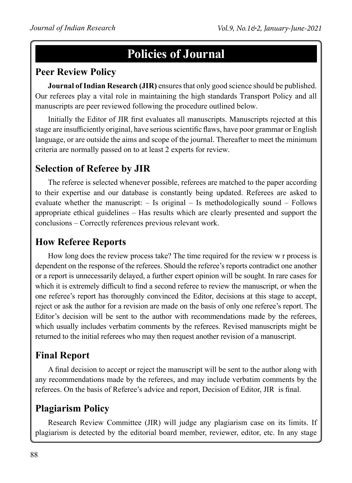# **Policies of Journal**

#### **Peer Review Policy**

**Journal of Indian Research (JIR)** ensures that only good science should be published. Our referees play a vital role in maintaining the high standards Transport Policy and all manuscripts are peer reviewed following the procedure outlined below.

Initially the Editor of JIR first evaluates all manuscripts. Manuscripts rejected at this stage are insufficiently original, have serious scientific flaws, have poor grammar or English language, or are outside the aims and scope of the journal. Thereafter to meet the minimum criteria are normally passed on to at least 2 experts for review.

### **Selection of Referee by JIR**

The referee is selected whenever possible, referees are matched to the paper according to their expertise and our database is constantly being updated. Referees are asked to evaluate whether the manuscript: – Is original – Is methodologically sound – Follows appropriate ethical guidelines – Has results which are clearly presented and support the conclusions – Correctly references previous relevant work.

#### **How Referee Reports**

How long does the review process take? The time required for the review w r process is dependent on the response of the referees. Should the referee's reports contradict one another or a report is unnecessarily delayed, a further expert opinion will be sought. In rare cases for which it is extremely difficult to find a second referee to review the manuscript, or when the one referee's report has thoroughly convinced the Editor, decisions at this stage to accept, reject or ask the author for a revision are made on the basis of only one referee's report. The Editor's decision will be sent to the author with recommendations made by the referees, which usually includes verbatim comments by the referees. Revised manuscripts might be returned to the initial referees who may then request another revision of a manuscript.

#### **Final Report**

A final decision to accept or reject the manuscript will be sent to the author along with any recommendations made by the referees, and may include verbatim comments by the referees. On the basis of Referee's advice and report, Decision of Editor, JIR is final.

#### **Plagiarism Policy**

Research Review Committee (JIR) will judge any plagiarism case on its limits. If plagiarism is detected by the editorial board member, reviewer, editor, etc. In any stage